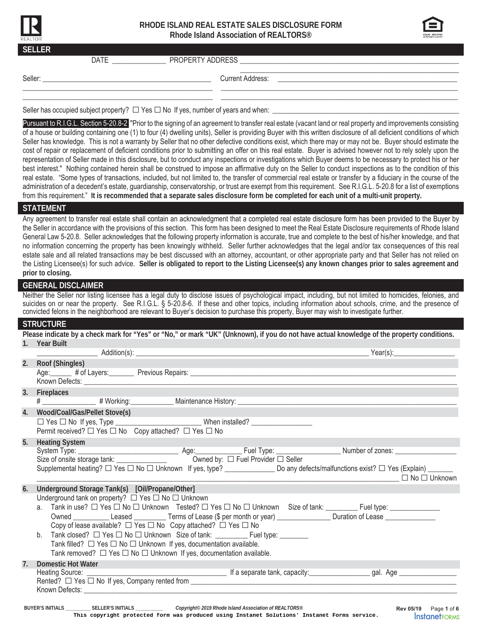

# **RHODE ISLAND REAL ESTATE SALES DISCLOSURE FORM Rhode Island Association of REALTORS®**



| <b>SELLER</b> | DATE |  |
|---------------|------|--|
|               |      |  |
|               |      |  |

Pursuant to R.I.G.L. Section 5-20.8-2 "Prior to the signing of an agreement to transfer real estate (vacant land or real property and improvements consisting of a house or building containing one (1) to four (4) dwelling units), Seller is providing Buyer with this written disclosure of all deficient conditions of which Seller has knowledge. This is not a warranty by Seller that no other defective conditions exist, which there may or may not be. Buyer should estimate the cost of repair or replacement of deficient conditions prior to submitting an offer on this real estate. Buyer is advised however not to rely solely upon the representation of Seller made in this disclosure, but to conduct any inspections or investigations which Buyer deems to be necessary to protect his or her best interest." Nothing contained herein shall be construed to impose an affirmative duty on the Seller to conduct inspections as to the condition of this real estate. "Some types of transactions, included, but not limited to, the transfer of commercial real estate or transfer by a fiduciary in the course of the administration of a decedent's estate, guardianship, conservatorship, or trust are exempt from this requirement. See R.I.G.L. 5-20.8 for a list of exemptions from this requirement." **It is recommended that a separate sales disclosure form be completed for each unit of a multi-unit property.** 

### **STATEMENT**

Any agreement to transfer real estate shall contain an acknowledgment that a completed real estate disclosure form has been provided to the Buyer by the Seller in accordance with the provisions of this section. This form has been designed to meet the Real Estate Disclosure requirements of Rhode Island General Law 5-20.8. Seller acknowledges that the following property information is accurate, true and complete to the best of his/her knowledge, and that no information concerning the property has been knowingly withheld. Seller further acknowledges that the legal and/or tax consequences of this real estate sale and all related transactions may be best discussed with an attorney, accountant, or other appropriate party and that Seller has not relied on the Listing Licensee(s) for such advice. **Seller is obligated to report to the Listing Licensee(s) any known changes prior to sales agreement and prior to closing.** 

# **GENERAL DISCLAIMER**

Neither the Seller nor listing licensee has a legal duty to disclose issues of psychological impact, including, but not limited to homicides, felonies, and suicides on or near the property. See R.I.G.L. § 5-20.8-6. If these and other topics, including information about schools, crime, and the presence of convicted felons in the neighborhood are relevant to Buyer's decision to purchase this property, Buyer may wish to investigate further.

### **STRUCTURE**

|                | Please indicate by a check mark for "Yes" or "No," or mark "UK" (Unknown), if you do not have actual knowledge of the property conditions. |                          |
|----------------|--------------------------------------------------------------------------------------------------------------------------------------------|--------------------------|
|                | 1. Year Built                                                                                                                              |                          |
|                |                                                                                                                                            |                          |
|                | 2. Roof (Shingles)                                                                                                                         |                          |
|                |                                                                                                                                            |                          |
|                |                                                                                                                                            |                          |
|                | 3. Fireplaces                                                                                                                              |                          |
|                |                                                                                                                                            |                          |
| 4.             | Wood/Coal/Gas/Pellet Stove(s)                                                                                                              |                          |
|                |                                                                                                                                            |                          |
|                | Permit received? $\Box$ Yes $\Box$ No Copy attached? $\Box$ Yes $\Box$ No                                                                  |                          |
|                | 5. Heating System                                                                                                                          |                          |
|                |                                                                                                                                            |                          |
|                |                                                                                                                                            |                          |
|                | Supplemental heating? □ Yes □ No □ Unknown If yes, type? _______________ Do any defects/malfunctions exist? □ Yes (Explain) ______         |                          |
|                |                                                                                                                                            | $\Box$ No $\Box$ Unknown |
| 6.             | Underground Storage Tank(s) [Oil/Propane/Other]                                                                                            |                          |
|                | Underground tank on property? $\Box$ Yes $\Box$ No $\Box$ Unknown                                                                          |                          |
|                | a. Tank in use? □ Yes □ No □ Unknown Tested? □ Yes □ No □ Unknown Size of tank: ________Fuel type: ____________                            |                          |
|                | Owned _____________Leased _____________Terms of Lease (\$ per month or year) _________________Duration of Lease _________________          |                          |
|                | Copy of lease available? $\Box$ Yes $\Box$ No Copy attached? $\Box$ Yes $\Box$ No                                                          |                          |
|                | b. Tank closed? □ Yes □ No □ Unknown Size of tank: _____________________________                                                           |                          |
|                | Tank filled? $\Box$ Yes $\Box$ No $\Box$ Unknown If yes, documentation available.                                                          |                          |
|                | Tank removed? $\Box$ Yes $\Box$ No $\Box$ Unknown If yes, documentation available.                                                         |                          |
| 7 <sub>1</sub> | <b>Domestic Hot Water</b>                                                                                                                  |                          |
|                |                                                                                                                                            |                          |
|                |                                                                                                                                            |                          |
|                |                                                                                                                                            |                          |
|                | BUYER'S INITIALS ____________ SELLER'S INITIALS _____________ Copyright® 2019 Rhode Island Association of REALTORS®                        | Rev 05/19   Page 1 of 6  |
|                | This copyright protected form was produced using Instanet Solutions' Instanet Forms service.                                               | <b>InstanetFORMS</b>     |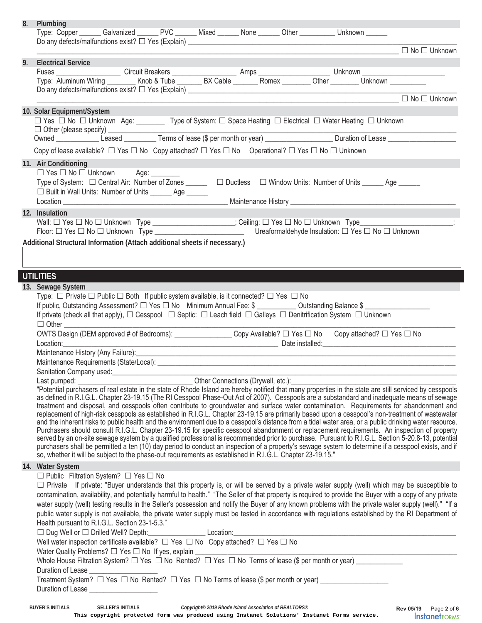| 8. | Plumbing<br>Type: Copper ______ Galvanized ______ PVC ______ Mixed ______ None ______ Other _________ Unknown ______                                                                                                                                                                                       |
|----|------------------------------------------------------------------------------------------------------------------------------------------------------------------------------------------------------------------------------------------------------------------------------------------------------------|
|    | $\Box$ No $\Box$ Unknown                                                                                                                                                                                                                                                                                   |
| 9. | <b>Electrical Service</b>                                                                                                                                                                                                                                                                                  |
|    |                                                                                                                                                                                                                                                                                                            |
|    |                                                                                                                                                                                                                                                                                                            |
|    |                                                                                                                                                                                                                                                                                                            |
|    | 10. Solar Equipment/System                                                                                                                                                                                                                                                                                 |
|    | □ Yes □ No □ Unknown Age: __________ Type of System: □ Space Heating □ Electrical □ Water Heating □ Unknown                                                                                                                                                                                                |
|    |                                                                                                                                                                                                                                                                                                            |
|    |                                                                                                                                                                                                                                                                                                            |
|    | Copy of lease available? $\Box$ Yes $\Box$ No Copy attached? $\Box$ Yes $\Box$ No Operational? $\Box$ Yes $\Box$ No $\Box$ Unknown                                                                                                                                                                         |
|    | 11. Air Conditioning<br>$\Box$ Yes $\Box$ No $\Box$ Unknown Age: ________                                                                                                                                                                                                                                  |
|    | Type of System: $\Box$ Central Air: Number of Zones ______ $\Box$ Ductless $\Box$ Window Units: Number of Units _____ Age _____                                                                                                                                                                            |
|    | □ Built in Wall Units: Number of Units _______ Age ______                                                                                                                                                                                                                                                  |
|    |                                                                                                                                                                                                                                                                                                            |
|    | 12. Insulation                                                                                                                                                                                                                                                                                             |
|    | Wall: $\Box$ Yes $\Box$ No $\Box$ Unknown Type __________________; Ceiling: $\Box$ Yes $\Box$ No $\Box$ Unknown Type _____________                                                                                                                                                                         |
|    | Ureaformaldehyde Insulation: □ Yes □ No □ Unknown                                                                                                                                                                                                                                                          |
|    | Additional Structural Information (Attach additional sheets if necessary.)                                                                                                                                                                                                                                 |
|    |                                                                                                                                                                                                                                                                                                            |
|    |                                                                                                                                                                                                                                                                                                            |
|    | <b>UTILITIES</b>                                                                                                                                                                                                                                                                                           |
|    | 13. Sewage System                                                                                                                                                                                                                                                                                          |
|    | Type: $\Box$ Private $\Box$ Public $\Box$ Both If public system available, is it connected? $\Box$ Yes $\Box$ No<br>If public, Outstanding Assessment? □ Yes □ No Minimum Annual Fee: \$ ____________ Outstanding Balance \$                                                                               |
|    | If private (check all that apply), $\Box$ Cesspool $\Box$ Septic: $\Box$ Leach field $\Box$ Galleys $\Box$ Denitrification System $\Box$ Unknown                                                                                                                                                           |
|    | $\Box$ Other                                                                                                                                                                                                                                                                                               |
|    | OWTS Design (DEM approved # of Bedrooms): ___________________Copy Available? □ Yes □ No Copy attached? □ Yes □ No                                                                                                                                                                                          |
|    | Location:                                                                                                                                                                                                                                                                                                  |
|    | Maintenance History (Any Failure):                                                                                                                                                                                                                                                                         |
|    | Maintenance Requirements (State/Local): Letter and the state of the state of the state of the state of the state of the state of the state of the state of the state of the state of the state of the state of the state of th                                                                             |
|    |                                                                                                                                                                                                                                                                                                            |
|    | Last pumped: <u>Capacases</u> of real estate in the state of Rhode Island are hereby notified that many properties in the state are still serviced by cesspools<br>"Potential purchasers of real estate in the state of Rhode Island a                                                                     |
|    | as defined in R.I.G.L. Chapter 23-19.15 (The RI Cesspool Phase-Out Act of 2007). Cesspools are a substandard and inadequate means of sewage                                                                                                                                                                |
|    | treatment and disposal, and cesspools often contribute to groundwater and surface water contamination. Requirements for abandonment and                                                                                                                                                                    |
|    | replacement of high-risk cesspools as established in R.I.G.L. Chapter 23-19.15 are primarily based upon a cesspool's non-treatment of wastewater<br>and the inherent risks to public health and the environment due to a cesspool's distance from a tidal water area, or a public drinking water resource. |
|    | Purchasers should consult R.I.G.L. Chapter 23-19.15 for specific cesspool abandonment or replacement requirements. An inspection of property                                                                                                                                                               |
|    | served by an on-site sewage system by a qualified professional is recommended prior to purchase. Pursuant to R.I.G.L. Section 5-20.8-13, potential                                                                                                                                                         |
|    | purchasers shall be permitted a ten (10) day period to conduct an inspection of a property's sewage system to determine if a cesspool exists, and if<br>so, whether it will be subject to the phase-out requirements as established in R.I.G.L. Chapter 23-19.15."                                         |
|    |                                                                                                                                                                                                                                                                                                            |
|    | 14. Water System<br>$\Box$ Public Filtration System? $\Box$ Yes $\Box$ No                                                                                                                                                                                                                                  |
|    | □ Private If private: "Buyer understands that this property is, or will be served by a private water supply (well) which may be susceptible to                                                                                                                                                             |
|    | contamination, availability, and potentially harmful to health." "The Seller of that property is required to provide the Buyer with a copy of any private                                                                                                                                                  |
|    | water supply (well) testing results in the Seller's possession and notify the Buyer of any known problems with the private water supply (well)." "If a                                                                                                                                                     |
|    | public water supply is not available, the private water supply must be tested in accordance with regulations established by the RI Department of                                                                                                                                                           |
|    | Health pursuant to R.I.G.L. Section 23-1-5.3."                                                                                                                                                                                                                                                             |
|    | □ Dug Well or □ Drilled Well? Depth: Location:<br>Well water inspection certificate available? □ Yes □ No Copy attached? □ Yes □ No                                                                                                                                                                        |
|    |                                                                                                                                                                                                                                                                                                            |
|    | Water Quality Problems? $\Box$ Yes $\Box$ No If yes, explain $\Box$<br>Whole House Filtration System? $\Box$ Yes $\Box$ No Rented? $\Box$ Yes $\Box$ No Terms of lease (\$ per month or year) $\Box$                                                                                                       |
|    |                                                                                                                                                                                                                                                                                                            |
|    | Treatment System? □ Yes □ No Rented? □ Yes □ No Terms of lease (\$ per month or year) ______________                                                                                                                                                                                                       |
|    | Duration of Lease _____________________                                                                                                                                                                                                                                                                    |
|    |                                                                                                                                                                                                                                                                                                            |

**BUYER'S INITIALS \_\_\_\_\_\_\_\_\_\_ SELLER'S INITIALS \_\_\_\_\_\_\_\_\_\_\_** *Copyright© 2019 Rhode Island Association of REALTORS®*

**This copyright protected form was produced using Instanet Solutions' Instanet Forms service.**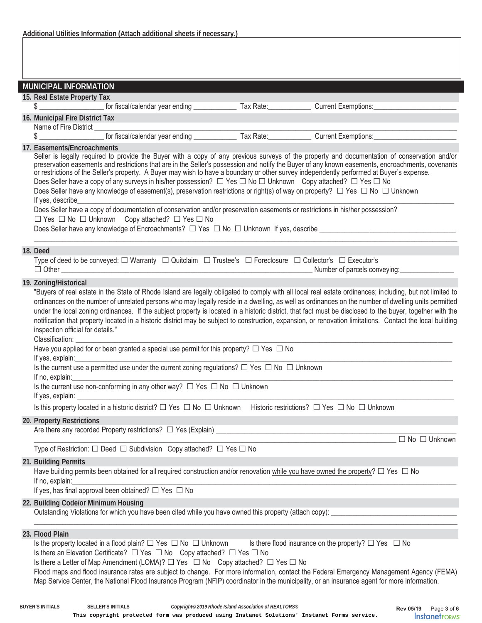|                                                                                                                                                                                                                                                                                                                                                                                                                                                                                                                                                                                                                                                                                                                                                                                                                                                                                    | <b>MUNICIPAL INFORMATION</b>                                                                                                                                                                                                                                                                                                                                                                                                                                                                                                                                                                                                                                                                                                                                                                                                                                                                                                                                   |  |  |  |  |  |
|------------------------------------------------------------------------------------------------------------------------------------------------------------------------------------------------------------------------------------------------------------------------------------------------------------------------------------------------------------------------------------------------------------------------------------------------------------------------------------------------------------------------------------------------------------------------------------------------------------------------------------------------------------------------------------------------------------------------------------------------------------------------------------------------------------------------------------------------------------------------------------|----------------------------------------------------------------------------------------------------------------------------------------------------------------------------------------------------------------------------------------------------------------------------------------------------------------------------------------------------------------------------------------------------------------------------------------------------------------------------------------------------------------------------------------------------------------------------------------------------------------------------------------------------------------------------------------------------------------------------------------------------------------------------------------------------------------------------------------------------------------------------------------------------------------------------------------------------------------|--|--|--|--|--|
|                                                                                                                                                                                                                                                                                                                                                                                                                                                                                                                                                                                                                                                                                                                                                                                                                                                                                    | 15. Real Estate Property Tax                                                                                                                                                                                                                                                                                                                                                                                                                                                                                                                                                                                                                                                                                                                                                                                                                                                                                                                                   |  |  |  |  |  |
|                                                                                                                                                                                                                                                                                                                                                                                                                                                                                                                                                                                                                                                                                                                                                                                                                                                                                    | for fiscal/calendar year ending Tax Rate:<br>Current Exemptions:<br>\$                                                                                                                                                                                                                                                                                                                                                                                                                                                                                                                                                                                                                                                                                                                                                                                                                                                                                         |  |  |  |  |  |
|                                                                                                                                                                                                                                                                                                                                                                                                                                                                                                                                                                                                                                                                                                                                                                                                                                                                                    | 16. Municipal Fire District Tax<br>Name of Fire District ______                                                                                                                                                                                                                                                                                                                                                                                                                                                                                                                                                                                                                                                                                                                                                                                                                                                                                                |  |  |  |  |  |
|                                                                                                                                                                                                                                                                                                                                                                                                                                                                                                                                                                                                                                                                                                                                                                                                                                                                                    | \$                                                                                                                                                                                                                                                                                                                                                                                                                                                                                                                                                                                                                                                                                                                                                                                                                                                                                                                                                             |  |  |  |  |  |
|                                                                                                                                                                                                                                                                                                                                                                                                                                                                                                                                                                                                                                                                                                                                                                                                                                                                                    | 17. Easements/Encroachments<br>Seller is legally required to provide the Buyer with a copy of any previous surveys of the property and documentation of conservation and/or<br>preservation easements and restrictions that are in the Seller's possession and notify the Buyer of any known easements, encroachments, covenants<br>or restrictions of the Seller's property. A Buyer may wish to have a boundary or other survey independently performed at Buyer's expense.<br>Does Seller have a copy of any surveys in his/her possession? $\Box$ Yes $\Box$ No $\Box$ Unknown Copy attached? $\Box$ Yes $\Box$ No<br>Does Seller have any knowledge of easement(s), preservation restrictions or right(s) of way on property? □ Yes □ No □ Unknown<br>If yes, describe<br>Does Seller have a copy of documentation of conservation and/or preservation easements or restrictions in his/her possession?<br>□ Yes □ No □ Unknown Copy attached? □ Yes □ No |  |  |  |  |  |
|                                                                                                                                                                                                                                                                                                                                                                                                                                                                                                                                                                                                                                                                                                                                                                                                                                                                                    | 18. Deed                                                                                                                                                                                                                                                                                                                                                                                                                                                                                                                                                                                                                                                                                                                                                                                                                                                                                                                                                       |  |  |  |  |  |
|                                                                                                                                                                                                                                                                                                                                                                                                                                                                                                                                                                                                                                                                                                                                                                                                                                                                                    | Type of deed to be conveyed: $\Box$ Warranty $\Box$ Quitclaim $\Box$ Trustee's $\Box$ Foreclosure $\Box$ Collector's $\Box$ Executor's                                                                                                                                                                                                                                                                                                                                                                                                                                                                                                                                                                                                                                                                                                                                                                                                                         |  |  |  |  |  |
|                                                                                                                                                                                                                                                                                                                                                                                                                                                                                                                                                                                                                                                                                                                                                                                                                                                                                    | 19. Zoning/Historical                                                                                                                                                                                                                                                                                                                                                                                                                                                                                                                                                                                                                                                                                                                                                                                                                                                                                                                                          |  |  |  |  |  |
| "Buyers of real estate in the State of Rhode Island are legally obligated to comply with all local real estate ordinances; including, but not limited to<br>ordinances on the number of unrelated persons who may legally reside in a dwelling, as well as ordinances on the number of dwelling units permitted<br>under the local zoning ordinances. If the subject property is located in a historic district, that fact must be disclosed to the buyer, together with the<br>notification that property located in a historic district may be subject to construction, expansion, or renovation limitations. Contact the local building<br>inspection official for details."<br>Classification: Classification:<br>Have you applied for or been granted a special use permit for this property? $\Box$ Yes $\Box$ No<br>If yes, explain: example and a series of yes, explaint. |                                                                                                                                                                                                                                                                                                                                                                                                                                                                                                                                                                                                                                                                                                                                                                                                                                                                                                                                                                |  |  |  |  |  |
| Is the current use a permitted use under the current zoning regulations? $\Box$ Yes $\Box$ No $\Box$ Unknown<br>If no, explain:<br>Is the current use non-conforming in any other way? $\Box$ Yes $\Box$ No $\Box$ Unknown                                                                                                                                                                                                                                                                                                                                                                                                                                                                                                                                                                                                                                                         |                                                                                                                                                                                                                                                                                                                                                                                                                                                                                                                                                                                                                                                                                                                                                                                                                                                                                                                                                                |  |  |  |  |  |
|                                                                                                                                                                                                                                                                                                                                                                                                                                                                                                                                                                                                                                                                                                                                                                                                                                                                                    | Is this property located in a historic district? $\Box$ Yes $\Box$ No $\Box$ Unknown Historic restrictions? $\Box$ Yes $\Box$ No $\Box$ Unknown                                                                                                                                                                                                                                                                                                                                                                                                                                                                                                                                                                                                                                                                                                                                                                                                                |  |  |  |  |  |
|                                                                                                                                                                                                                                                                                                                                                                                                                                                                                                                                                                                                                                                                                                                                                                                                                                                                                    | 20. Property Restrictions                                                                                                                                                                                                                                                                                                                                                                                                                                                                                                                                                                                                                                                                                                                                                                                                                                                                                                                                      |  |  |  |  |  |
|                                                                                                                                                                                                                                                                                                                                                                                                                                                                                                                                                                                                                                                                                                                                                                                                                                                                                    | Are there any recorded Property restrictions? $\Box$ Yes (Explain) $\Box$                                                                                                                                                                                                                                                                                                                                                                                                                                                                                                                                                                                                                                                                                                                                                                                                                                                                                      |  |  |  |  |  |
|                                                                                                                                                                                                                                                                                                                                                                                                                                                                                                                                                                                                                                                                                                                                                                                                                                                                                    | $\Box$ No $\Box$ Unknown                                                                                                                                                                                                                                                                                                                                                                                                                                                                                                                                                                                                                                                                                                                                                                                                                                                                                                                                       |  |  |  |  |  |
|                                                                                                                                                                                                                                                                                                                                                                                                                                                                                                                                                                                                                                                                                                                                                                                                                                                                                    | Type of Restriction: $\square$ Deed $\square$ Subdivision Copy attached? $\square$ Yes $\square$ No                                                                                                                                                                                                                                                                                                                                                                                                                                                                                                                                                                                                                                                                                                                                                                                                                                                            |  |  |  |  |  |
|                                                                                                                                                                                                                                                                                                                                                                                                                                                                                                                                                                                                                                                                                                                                                                                                                                                                                    | 21. Building Permits<br>Have building permits been obtained for all required construction and/or renovation while you have owned the property? $\Box$ Yes $\Box$ No<br>If no, explain:<br>If yes, has final approval been obtained? $\Box$ Yes $\Box$ No                                                                                                                                                                                                                                                                                                                                                                                                                                                                                                                                                                                                                                                                                                       |  |  |  |  |  |
|                                                                                                                                                                                                                                                                                                                                                                                                                                                                                                                                                                                                                                                                                                                                                                                                                                                                                    | 22. Building Code/or Minimum Housing                                                                                                                                                                                                                                                                                                                                                                                                                                                                                                                                                                                                                                                                                                                                                                                                                                                                                                                           |  |  |  |  |  |
|                                                                                                                                                                                                                                                                                                                                                                                                                                                                                                                                                                                                                                                                                                                                                                                                                                                                                    | 23. Flood Plain<br>Is the property located in a flood plain? $\Box$ Yes $\Box$ No $\Box$ Unknown Is there flood insurance on the property? $\Box$ Yes $\Box$ No<br>Is there an Elevation Certificate? $\Box$ Yes $\Box$ No Copy attached? $\Box$ Yes $\Box$ No<br>Is there a Letter of Map Amendment (LOMA)? $\Box$ Yes $\Box$ No Copy attached? $\Box$ Yes $\Box$ No<br>Flood maps and flood insurance rates are subject to change. For more information, contact the Federal Emergency Management Agency (FEMA)<br>Map Service Center, the National Flood Insurance Program (NFIP) coordinator in the municipality, or an insurance agent for more information.                                                                                                                                                                                                                                                                                              |  |  |  |  |  |

**This copyright protected form was produced using Instanet Solutions' Instanet Forms service.**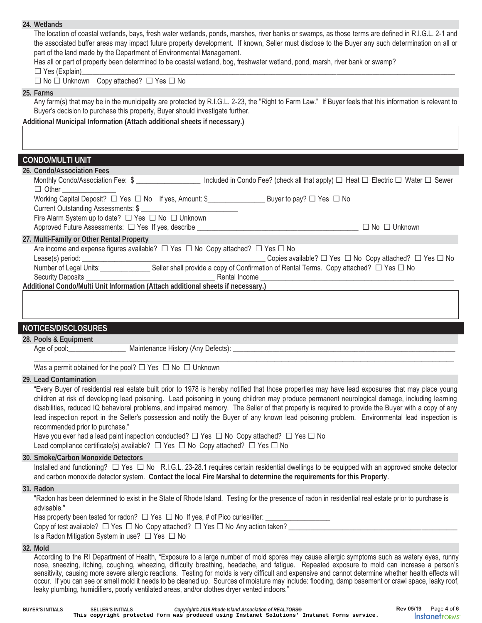| The location of coastal wetlands, bays, fresh water wetlands, ponds, marshes, river banks or swamps, as those terms are defined in R.I.G.L. 2-1 and<br>the associated buffer areas may impact future property development. If known, Seller must disclose to the Buyer any such determination on all or<br>part of the land made by the Department of Environmental Management.<br>Has all or part of property been determined to be coastal wetland, bog, freshwater wetland, pond, marsh, river bank or swamp?<br>□ Yes (Explain)<br><u>□ Yes (Explain)</u>                                                                                                         |
|-----------------------------------------------------------------------------------------------------------------------------------------------------------------------------------------------------------------------------------------------------------------------------------------------------------------------------------------------------------------------------------------------------------------------------------------------------------------------------------------------------------------------------------------------------------------------------------------------------------------------------------------------------------------------|
| $\Box$ No $\Box$ Unknown Copy attached? $\Box$ Yes $\Box$ No                                                                                                                                                                                                                                                                                                                                                                                                                                                                                                                                                                                                          |
| 25. Farms                                                                                                                                                                                                                                                                                                                                                                                                                                                                                                                                                                                                                                                             |
| Any farm(s) that may be in the municipality are protected by R.I.G.L. 2-23, the "Right to Farm Law." If Buyer feels that this information is relevant to<br>Buyer's decision to purchase this property, Buyer should investigate further.                                                                                                                                                                                                                                                                                                                                                                                                                             |
| Additional Municipal Information (Attach additional sheets if necessary.)                                                                                                                                                                                                                                                                                                                                                                                                                                                                                                                                                                                             |
|                                                                                                                                                                                                                                                                                                                                                                                                                                                                                                                                                                                                                                                                       |
| CONDO/MULTI UNIT                                                                                                                                                                                                                                                                                                                                                                                                                                                                                                                                                                                                                                                      |
| 26. Condo/Association Fees                                                                                                                                                                                                                                                                                                                                                                                                                                                                                                                                                                                                                                            |
| Monthly Condo/Association Fee: \$ ___________________ Included in Condo Fee? (check all that apply) □ Heat □ Electric □ Water □ Sewer<br>$\Box$ Other                                                                                                                                                                                                                                                                                                                                                                                                                                                                                                                 |
| Working Capital Deposit?  □ Yes □ No If yes, Amount: \$<br>The Morking Capital Deposit?  □ Yes □ No                                                                                                                                                                                                                                                                                                                                                                                                                                                                                                                                                                   |
| Fire Alarm System up to date? □ Yes □ No □ Unknown                                                                                                                                                                                                                                                                                                                                                                                                                                                                                                                                                                                                                    |
|                                                                                                                                                                                                                                                                                                                                                                                                                                                                                                                                                                                                                                                                       |
| 27. Multi-Family or Other Rental Property                                                                                                                                                                                                                                                                                                                                                                                                                                                                                                                                                                                                                             |
| Are income and expense figures available? $\Box$ Yes $\Box$ No Copy attached? $\Box$ Yes $\Box$ No                                                                                                                                                                                                                                                                                                                                                                                                                                                                                                                                                                    |
| Lease(s) period: ___________________________Seller shall provide a copy of Confirmation of Rental Terms. Copy attached? □ Yes □ No Copy attached? □ Yes □ No<br>Copies available? $\Box$ Yes $\Box$ No Copy attached? $\Box$ Yes $\Box$ No                                                                                                                                                                                                                                                                                                                                                                                                                            |
|                                                                                                                                                                                                                                                                                                                                                                                                                                                                                                                                                                                                                                                                       |
|                                                                                                                                                                                                                                                                                                                                                                                                                                                                                                                                                                                                                                                                       |
| Additional Condo/Multi Unit Information (Attach additional sheets if necessary.)                                                                                                                                                                                                                                                                                                                                                                                                                                                                                                                                                                                      |
|                                                                                                                                                                                                                                                                                                                                                                                                                                                                                                                                                                                                                                                                       |
| <b>NOTICES/DISCLOSURES</b>                                                                                                                                                                                                                                                                                                                                                                                                                                                                                                                                                                                                                                            |
| 28. Pools & Equipment<br>Age of pool:                                                                                                                                                                                                                                                                                                                                                                                                                                                                                                                                                                                                                                 |
| Was a permit obtained for the pool? $\Box$ Yes $\Box$ No $\Box$ Unknown                                                                                                                                                                                                                                                                                                                                                                                                                                                                                                                                                                                               |
| 29. Lead Contamination<br>"Every Buyer of residential real estate built prior to 1978 is hereby notified that those properties may have lead exposures that may place young<br>children at risk of developing lead poisoning. Lead poisoning in young children may produce permanent neurological damage, including learning<br>disabilities, reduced IQ behavioral problems, and impaired memory. The Seller of that property is required to provide the Buyer with a copy of any<br>lead inspection report in the Seller's possession and notify the Buyer of any known lead poisoning problem. Environmental lead inspection is<br>recommended prior to purchase." |
| Have you ever had a lead paint inspection conducted? $\Box$ Yes $\Box$ No Copy attached? $\Box$ Yes $\Box$ No<br>Lead compliance certificate(s) available? $\Box$ Yes $\Box$ No Copy attached? $\Box$ Yes $\Box$ No                                                                                                                                                                                                                                                                                                                                                                                                                                                   |
| 30. Smoke/Carbon Monoxide Detectors                                                                                                                                                                                                                                                                                                                                                                                                                                                                                                                                                                                                                                   |
| Installed and functioning? $\Box$ Yes $\Box$ No R.I.G.L. 23-28.1 requires certain residential dwellings to be equipped with an approved smoke detector<br>and carbon monoxide detector system. Contact the local Fire Marshal to determine the requirements for this Property.                                                                                                                                                                                                                                                                                                                                                                                        |
| 31. Radon                                                                                                                                                                                                                                                                                                                                                                                                                                                                                                                                                                                                                                                             |
| "Radon has been determined to exist in the State of Rhode Island. Testing for the presence of radon in residential real estate prior to purchase is<br>advisable."                                                                                                                                                                                                                                                                                                                                                                                                                                                                                                    |
| Has property been tested for radon? $\Box$ Yes $\Box$ No If yes, # of Pico curies/liter: _______________                                                                                                                                                                                                                                                                                                                                                                                                                                                                                                                                                              |
| Copy of test available? $\Box$ Yes $\Box$ No Copy attached? $\Box$ Yes $\Box$ No Any action taken? ____                                                                                                                                                                                                                                                                                                                                                                                                                                                                                                                                                               |
| Is a Radon Mitigation System in use? □ Yes □ No                                                                                                                                                                                                                                                                                                                                                                                                                                                                                                                                                                                                                       |
| 32. Mold<br>According to the RI Department of Health, "Exposure to a large number of mold spores may cause allergic symptoms such as watery eyes, runny                                                                                                                                                                                                                                                                                                                                                                                                                                                                                                               |

**24. Wetlands** 

leaky plumbing, humidifiers, poorly ventilated areas, and/or clothes dryer vented indoors."

occur. If you can see or smell mold it needs to be cleaned up. Sources of moisture may include: flooding, damp basement or crawl space, leaky roof,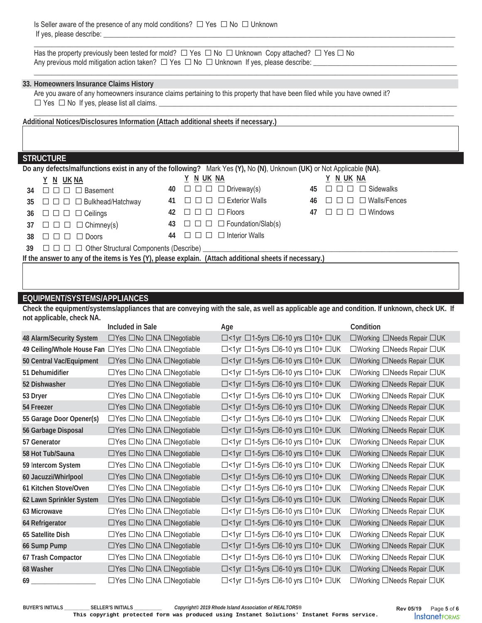Is Seller aware of the presence of any mold conditions?  $\Box$  Yes  $\Box$  No  $\Box$  Unknown If yes, please describe:

Has the property previously been tested for mold? □ Yes □ No □ Unknown Copy attached? □ Yes □ No Any previous mold mitigation action taken?  $\Box$  Yes  $\Box$  No  $\Box$  Unknown If yes, please describe:

#### **33. Homeowners Insurance Claims History**

Are you aware of any homeowners insurance claims pertaining to this property that have been filed while you have owned it? □ Yes □ No If yes, please list all claims. \_\_\_\_\_\_\_\_\_\_\_\_\_\_\_\_\_\_\_\_\_\_\_\_\_\_\_\_\_\_\_\_\_\_\_\_\_\_\_\_\_\_\_\_\_\_\_\_\_\_\_\_\_\_\_\_\_\_\_\_\_\_\_\_\_\_\_\_\_\_\_\_\_\_\_\_\_\_\_\_\_\_\_

**Additional Notices/Disclosures Information (Attach additional sheets if necessary.)** 

### **STRUCTURE**

| Do any defects/malfunctions exist in any of the following? Mark Yes (Y), No (N), Unknown (UK) or Not Applicable (NA). |                                                                           |    |                                                   |    |                                   |
|-----------------------------------------------------------------------------------------------------------------------|---------------------------------------------------------------------------|----|---------------------------------------------------|----|-----------------------------------|
|                                                                                                                       | Y N UKNA                                                                  |    | N UK NA                                           |    | N UK NA                           |
|                                                                                                                       | 34 $\Box$ $\Box$ $\Box$ Basement                                          |    | 40 $\Box$ $\Box$ $\Box$ $\Box$ Driveway(s)        | 45 | $\Box$ $\Box$ Sidewalks           |
|                                                                                                                       | 35 □ □ □ □ Bulkhead/Hatchway                                              | 41 | $\Box$ $\Box$ $\Box$ Exterior Walls               | 46 | $\Box$ $\Box$ $\Box$ Walls/Fences |
|                                                                                                                       | 36 $\Box$ $\Box$ $\Box$ $\Box$ Ceilings                                   | 42 | $\Box$ $\Box$ $\Box$ Floors<br>$\perp$            | 47 | $\Box$ $\Box$ Windows             |
|                                                                                                                       | 37 $\Box$ $\Box$ $\Box$ $\Box$ Chimney(s)                                 |    | 43 $\Box$ $\Box$ $\Box$ $\Box$ Foundation/Slab(s) |    |                                   |
|                                                                                                                       | $38 \square \square \square \square$ Doors                                | 44 | $\Box$ $\Box$ Interior Walls                      |    |                                   |
|                                                                                                                       | 39 $\Box$ $\Box$ $\Box$ Other Structural Components (Describe) __________ |    |                                                   |    |                                   |
| If the answer to any of the items is Yes (Y), please explain. (Attach additional sheets if necessary.)                |                                                                           |    |                                                   |    |                                   |
|                                                                                                                       |                                                                           |    |                                                   |    |                                   |

\_\_\_\_\_\_\_\_\_\_\_\_\_\_\_\_\_\_\_\_\_\_\_\_\_\_\_\_\_\_\_\_\_\_\_\_\_\_\_\_\_\_\_\_\_\_\_\_\_\_\_\_\_\_\_\_\_\_\_\_\_\_\_\_\_\_\_\_\_\_\_\_\_\_\_\_\_\_\_\_\_\_\_\_\_\_\_\_\_\_\_\_\_\_\_\_\_\_\_\_\_\_\_\_\_\_\_\_\_\_\_\_\_\_\_\_\_

\_\_\_\_\_\_\_\_\_\_\_\_\_\_\_\_\_\_\_\_\_\_\_\_\_\_\_\_\_\_\_\_\_\_\_\_\_\_\_\_\_\_\_\_\_\_\_\_\_\_\_\_\_\_\_\_\_\_\_\_\_\_\_\_\_\_\_\_\_\_\_\_\_\_\_\_\_\_\_\_\_\_\_\_\_\_\_\_\_\_\_\_\_\_\_\_\_\_\_\_\_\_\_\_\_\_\_\_\_\_\_\_\_\_\_\_\_\_

 $\_$  , and the state of the state of the state of the state of the state of the state of the state of the state of the state of the state of the state of the state of the state of the state of the state of the state of the

### **EQUIPMENT/SYSTEMS/APPLIANCES**

**Check the equipment/systems/appliances that are conveying with the sale, as well as applicable age and condition. If unknown, check UK. If not applicable, check NA.** 

| $\Box$ <1yr $\Box$ 1-5yrs $\Box$ 6-10 yrs $\Box$ 10+ $\Box$ UK<br>□Yes □No □NA □Negotiable<br>48 Alarm/Security System<br>□Working □Needs Repair □UK<br>$\Box$ <1yr $\Box$ 1-5yrs $\Box$ 6-10 yrs $\Box$ 10+ $\Box$ UK<br>49 Ceiling/Whole House Fan □ Yes □ No □ NA □ Negotiable<br>□Working □Needs Repair □UK<br>$\Box$ <1yr $\Box$ 1-5yrs $\Box$ 6-10 yrs $\Box$ 10+ $\Box$ UK<br>□Yes □No □NA □Negotiable<br>□Working □Needs Repair □UK<br>50 Central Vac/Equipment<br>$\Box$ <1yr $\Box$ 1-5yrs $\Box$ 6-10 yrs $\Box$ 10+ $\Box$ UK<br>□Yes □No □NA □Negotiable<br>□Working □Needs Repair □UK<br>51 Dehumidifier<br>$\Box$ <1yr $\Box$ 1-5yrs $\Box$ 6-10 yrs $\Box$ 10+ $\Box$ UK<br>□Yes □No □NA □Negotiable<br>□Working □Needs Repair □UK<br>52 Dishwasher<br>$\Box$ <1yr $\Box$ 1-5yrs $\Box$ 6-10 yrs $\Box$ 10+ $\Box$ UK<br>□Yes □No □NA □Negotiable<br>□Working □Needs Repair □UK<br>53 Dryer<br>$\Box$ <1yr $\Box$ 1-5yrs $\Box$ 6-10 yrs $\Box$ 10+ $\Box$ UK<br>□Yes □No □NA □Negotiable<br>□Working □Needs Repair □UK<br>54 Freezer<br>□Yes □No □NA □Negotiable<br>$\Box$ <1yr $\Box$ 1-5yrs $\Box$ 6-10 yrs $\Box$ 10+ $\Box$ UK<br>□Working □Needs Repair □UK<br>55 Garage Door Opener(s)<br>□Yes □No □NA □Negotiable<br>$\Box$ <1yr $\Box$ 1-5yrs $\Box$ 6-10 yrs $\Box$ 10+ $\Box$ UK<br>□Working □Needs Repair □UK<br>56 Garbage Disposal<br>$\Box$ <1yr $\Box$ 1-5yrs $\Box$ 6-10 yrs $\Box$ 10+ $\Box$ UK<br>□Yes □No □NA □Negotiable<br>□Working □Needs Repair □UK<br>57 Generator<br>□Yes □No □NA □Negotiable<br>$\Box$ <1yr $\Box$ 1-5yrs $\Box$ 6-10 yrs $\Box$ 10+ $\Box$ UK<br>58 Hot Tub/Sauna<br>□Working □Needs Repair □UK<br>□Yes □No □NA □Negotiable<br>$\Box$ <1yr $\Box$ 1-5yrs $\Box$ 6-10 yrs $\Box$ 10+ $\Box$ UK<br>59 Intercom System<br>□Working □Needs Repair □UK<br>□Yes □No □NA □Negotiable<br>$\Box$ <1yr $\Box$ 1-5yrs $\Box$ 6-10 yrs $\Box$ 10+ $\Box$ UK<br>□Working □Needs Repair □UK<br>60 Jacuzzi/Whirlpool<br>$\Box$ <1yr $\Box$ 1-5yrs $\Box$ 6-10 yrs $\Box$ 10+ $\Box$ UK<br>□Yes □No □NA □Negotiable<br>61 Kitchen Stove/Oven<br>□Working □Needs Repair □UK<br>$\Box$ <1yr $\Box$ 1-5yrs $\Box$ 6-10 yrs $\Box$ 10+ $\Box$ UK<br>□Yes □No □NA □Negotiable<br>62 Lawn Sprinkler System<br>□Working □Needs Repair □UK<br>$\Box$ <1yr $\Box$ 1-5yrs $\Box$ 6-10 yrs $\Box$ 10+ $\Box$ UK<br>□Yes □No □NA □Negotiable<br>□Working □Needs Repair □UK<br>63 Microwave<br>$\Box$ <1yr $\Box$ 1-5yrs $\Box$ 6-10 yrs $\Box$ 10+ $\Box$ UK<br>□Yes □No □NA □Negotiable<br>□Working □Needs Repair □UK<br>64 Refrigerator<br>$\Box$ <1yr $\Box$ 1-5yrs $\Box$ 6-10 yrs $\Box$ 10+ $\Box$ UK<br>□Yes □No □NA □Negotiable<br>□Working □Needs Repair □UK<br>65 Satellite Dish<br>$\Box$ <1yr $\Box$ 1-5yrs $\Box$ 6-10 yrs $\Box$ 10+ $\Box$ UK<br>□Yes □No □NA □Negotiable<br>□Working □Needs Repair □UK<br>66 Sump Pump<br>□Yes □No □NA □Negotiable<br>$\Box$ <1yr $\Box$ 1-5yrs $\Box$ 6-10 yrs $\Box$ 10+ $\Box$ UK<br>□Working □Needs Repair □UK<br>67 Trash Compactor<br>□Yes □No □NA □Negotiable<br>$\Box$ <1yr $\Box$ 1-5yrs $\Box$ 6-10 yrs $\Box$ 10+ $\Box$ UK<br>□Working □Needs Repair □UK<br>68 Washer<br>□Yes □No □NA □Negotiable<br>$\Box$ <1yr $\Box$ 1-5yrs $\Box$ 6-10 yrs $\Box$ 10+ $\Box$ UK<br>□Working □Needs Repair □UK<br>69 | Included in Sale | Age | Condition |
|------------------------------------------------------------------------------------------------------------------------------------------------------------------------------------------------------------------------------------------------------------------------------------------------------------------------------------------------------------------------------------------------------------------------------------------------------------------------------------------------------------------------------------------------------------------------------------------------------------------------------------------------------------------------------------------------------------------------------------------------------------------------------------------------------------------------------------------------------------------------------------------------------------------------------------------------------------------------------------------------------------------------------------------------------------------------------------------------------------------------------------------------------------------------------------------------------------------------------------------------------------------------------------------------------------------------------------------------------------------------------------------------------------------------------------------------------------------------------------------------------------------------------------------------------------------------------------------------------------------------------------------------------------------------------------------------------------------------------------------------------------------------------------------------------------------------------------------------------------------------------------------------------------------------------------------------------------------------------------------------------------------------------------------------------------------------------------------------------------------------------------------------------------------------------------------------------------------------------------------------------------------------------------------------------------------------------------------------------------------------------------------------------------------------------------------------------------------------------------------------------------------------------------------------------------------------------------------------------------------------------------------------------------------------------------------------------------------------------------------------------------------------------------------------------------------------------------------------------------------------------------------------------------------------------------------------------------------------------------------------------------------------------------------------------------------------------------------------------------------------------------------------------------------------------------------------------------------------------------------------------------------------------------------------------|------------------|-----|-----------|
|                                                                                                                                                                                                                                                                                                                                                                                                                                                                                                                                                                                                                                                                                                                                                                                                                                                                                                                                                                                                                                                                                                                                                                                                                                                                                                                                                                                                                                                                                                                                                                                                                                                                                                                                                                                                                                                                                                                                                                                                                                                                                                                                                                                                                                                                                                                                                                                                                                                                                                                                                                                                                                                                                                                                                                                                                                                                                                                                                                                                                                                                                                                                                                                                                                                                                                      |                  |     |           |
|                                                                                                                                                                                                                                                                                                                                                                                                                                                                                                                                                                                                                                                                                                                                                                                                                                                                                                                                                                                                                                                                                                                                                                                                                                                                                                                                                                                                                                                                                                                                                                                                                                                                                                                                                                                                                                                                                                                                                                                                                                                                                                                                                                                                                                                                                                                                                                                                                                                                                                                                                                                                                                                                                                                                                                                                                                                                                                                                                                                                                                                                                                                                                                                                                                                                                                      |                  |     |           |
|                                                                                                                                                                                                                                                                                                                                                                                                                                                                                                                                                                                                                                                                                                                                                                                                                                                                                                                                                                                                                                                                                                                                                                                                                                                                                                                                                                                                                                                                                                                                                                                                                                                                                                                                                                                                                                                                                                                                                                                                                                                                                                                                                                                                                                                                                                                                                                                                                                                                                                                                                                                                                                                                                                                                                                                                                                                                                                                                                                                                                                                                                                                                                                                                                                                                                                      |                  |     |           |
|                                                                                                                                                                                                                                                                                                                                                                                                                                                                                                                                                                                                                                                                                                                                                                                                                                                                                                                                                                                                                                                                                                                                                                                                                                                                                                                                                                                                                                                                                                                                                                                                                                                                                                                                                                                                                                                                                                                                                                                                                                                                                                                                                                                                                                                                                                                                                                                                                                                                                                                                                                                                                                                                                                                                                                                                                                                                                                                                                                                                                                                                                                                                                                                                                                                                                                      |                  |     |           |
|                                                                                                                                                                                                                                                                                                                                                                                                                                                                                                                                                                                                                                                                                                                                                                                                                                                                                                                                                                                                                                                                                                                                                                                                                                                                                                                                                                                                                                                                                                                                                                                                                                                                                                                                                                                                                                                                                                                                                                                                                                                                                                                                                                                                                                                                                                                                                                                                                                                                                                                                                                                                                                                                                                                                                                                                                                                                                                                                                                                                                                                                                                                                                                                                                                                                                                      |                  |     |           |
|                                                                                                                                                                                                                                                                                                                                                                                                                                                                                                                                                                                                                                                                                                                                                                                                                                                                                                                                                                                                                                                                                                                                                                                                                                                                                                                                                                                                                                                                                                                                                                                                                                                                                                                                                                                                                                                                                                                                                                                                                                                                                                                                                                                                                                                                                                                                                                                                                                                                                                                                                                                                                                                                                                                                                                                                                                                                                                                                                                                                                                                                                                                                                                                                                                                                                                      |                  |     |           |
|                                                                                                                                                                                                                                                                                                                                                                                                                                                                                                                                                                                                                                                                                                                                                                                                                                                                                                                                                                                                                                                                                                                                                                                                                                                                                                                                                                                                                                                                                                                                                                                                                                                                                                                                                                                                                                                                                                                                                                                                                                                                                                                                                                                                                                                                                                                                                                                                                                                                                                                                                                                                                                                                                                                                                                                                                                                                                                                                                                                                                                                                                                                                                                                                                                                                                                      |                  |     |           |
|                                                                                                                                                                                                                                                                                                                                                                                                                                                                                                                                                                                                                                                                                                                                                                                                                                                                                                                                                                                                                                                                                                                                                                                                                                                                                                                                                                                                                                                                                                                                                                                                                                                                                                                                                                                                                                                                                                                                                                                                                                                                                                                                                                                                                                                                                                                                                                                                                                                                                                                                                                                                                                                                                                                                                                                                                                                                                                                                                                                                                                                                                                                                                                                                                                                                                                      |                  |     |           |
|                                                                                                                                                                                                                                                                                                                                                                                                                                                                                                                                                                                                                                                                                                                                                                                                                                                                                                                                                                                                                                                                                                                                                                                                                                                                                                                                                                                                                                                                                                                                                                                                                                                                                                                                                                                                                                                                                                                                                                                                                                                                                                                                                                                                                                                                                                                                                                                                                                                                                                                                                                                                                                                                                                                                                                                                                                                                                                                                                                                                                                                                                                                                                                                                                                                                                                      |                  |     |           |
|                                                                                                                                                                                                                                                                                                                                                                                                                                                                                                                                                                                                                                                                                                                                                                                                                                                                                                                                                                                                                                                                                                                                                                                                                                                                                                                                                                                                                                                                                                                                                                                                                                                                                                                                                                                                                                                                                                                                                                                                                                                                                                                                                                                                                                                                                                                                                                                                                                                                                                                                                                                                                                                                                                                                                                                                                                                                                                                                                                                                                                                                                                                                                                                                                                                                                                      |                  |     |           |
|                                                                                                                                                                                                                                                                                                                                                                                                                                                                                                                                                                                                                                                                                                                                                                                                                                                                                                                                                                                                                                                                                                                                                                                                                                                                                                                                                                                                                                                                                                                                                                                                                                                                                                                                                                                                                                                                                                                                                                                                                                                                                                                                                                                                                                                                                                                                                                                                                                                                                                                                                                                                                                                                                                                                                                                                                                                                                                                                                                                                                                                                                                                                                                                                                                                                                                      |                  |     |           |
|                                                                                                                                                                                                                                                                                                                                                                                                                                                                                                                                                                                                                                                                                                                                                                                                                                                                                                                                                                                                                                                                                                                                                                                                                                                                                                                                                                                                                                                                                                                                                                                                                                                                                                                                                                                                                                                                                                                                                                                                                                                                                                                                                                                                                                                                                                                                                                                                                                                                                                                                                                                                                                                                                                                                                                                                                                                                                                                                                                                                                                                                                                                                                                                                                                                                                                      |                  |     |           |
|                                                                                                                                                                                                                                                                                                                                                                                                                                                                                                                                                                                                                                                                                                                                                                                                                                                                                                                                                                                                                                                                                                                                                                                                                                                                                                                                                                                                                                                                                                                                                                                                                                                                                                                                                                                                                                                                                                                                                                                                                                                                                                                                                                                                                                                                                                                                                                                                                                                                                                                                                                                                                                                                                                                                                                                                                                                                                                                                                                                                                                                                                                                                                                                                                                                                                                      |                  |     |           |
|                                                                                                                                                                                                                                                                                                                                                                                                                                                                                                                                                                                                                                                                                                                                                                                                                                                                                                                                                                                                                                                                                                                                                                                                                                                                                                                                                                                                                                                                                                                                                                                                                                                                                                                                                                                                                                                                                                                                                                                                                                                                                                                                                                                                                                                                                                                                                                                                                                                                                                                                                                                                                                                                                                                                                                                                                                                                                                                                                                                                                                                                                                                                                                                                                                                                                                      |                  |     |           |
|                                                                                                                                                                                                                                                                                                                                                                                                                                                                                                                                                                                                                                                                                                                                                                                                                                                                                                                                                                                                                                                                                                                                                                                                                                                                                                                                                                                                                                                                                                                                                                                                                                                                                                                                                                                                                                                                                                                                                                                                                                                                                                                                                                                                                                                                                                                                                                                                                                                                                                                                                                                                                                                                                                                                                                                                                                                                                                                                                                                                                                                                                                                                                                                                                                                                                                      |                  |     |           |
|                                                                                                                                                                                                                                                                                                                                                                                                                                                                                                                                                                                                                                                                                                                                                                                                                                                                                                                                                                                                                                                                                                                                                                                                                                                                                                                                                                                                                                                                                                                                                                                                                                                                                                                                                                                                                                                                                                                                                                                                                                                                                                                                                                                                                                                                                                                                                                                                                                                                                                                                                                                                                                                                                                                                                                                                                                                                                                                                                                                                                                                                                                                                                                                                                                                                                                      |                  |     |           |
|                                                                                                                                                                                                                                                                                                                                                                                                                                                                                                                                                                                                                                                                                                                                                                                                                                                                                                                                                                                                                                                                                                                                                                                                                                                                                                                                                                                                                                                                                                                                                                                                                                                                                                                                                                                                                                                                                                                                                                                                                                                                                                                                                                                                                                                                                                                                                                                                                                                                                                                                                                                                                                                                                                                                                                                                                                                                                                                                                                                                                                                                                                                                                                                                                                                                                                      |                  |     |           |
|                                                                                                                                                                                                                                                                                                                                                                                                                                                                                                                                                                                                                                                                                                                                                                                                                                                                                                                                                                                                                                                                                                                                                                                                                                                                                                                                                                                                                                                                                                                                                                                                                                                                                                                                                                                                                                                                                                                                                                                                                                                                                                                                                                                                                                                                                                                                                                                                                                                                                                                                                                                                                                                                                                                                                                                                                                                                                                                                                                                                                                                                                                                                                                                                                                                                                                      |                  |     |           |
|                                                                                                                                                                                                                                                                                                                                                                                                                                                                                                                                                                                                                                                                                                                                                                                                                                                                                                                                                                                                                                                                                                                                                                                                                                                                                                                                                                                                                                                                                                                                                                                                                                                                                                                                                                                                                                                                                                                                                                                                                                                                                                                                                                                                                                                                                                                                                                                                                                                                                                                                                                                                                                                                                                                                                                                                                                                                                                                                                                                                                                                                                                                                                                                                                                                                                                      |                  |     |           |
|                                                                                                                                                                                                                                                                                                                                                                                                                                                                                                                                                                                                                                                                                                                                                                                                                                                                                                                                                                                                                                                                                                                                                                                                                                                                                                                                                                                                                                                                                                                                                                                                                                                                                                                                                                                                                                                                                                                                                                                                                                                                                                                                                                                                                                                                                                                                                                                                                                                                                                                                                                                                                                                                                                                                                                                                                                                                                                                                                                                                                                                                                                                                                                                                                                                                                                      |                  |     |           |
|                                                                                                                                                                                                                                                                                                                                                                                                                                                                                                                                                                                                                                                                                                                                                                                                                                                                                                                                                                                                                                                                                                                                                                                                                                                                                                                                                                                                                                                                                                                                                                                                                                                                                                                                                                                                                                                                                                                                                                                                                                                                                                                                                                                                                                                                                                                                                                                                                                                                                                                                                                                                                                                                                                                                                                                                                                                                                                                                                                                                                                                                                                                                                                                                                                                                                                      |                  |     |           |
|                                                                                                                                                                                                                                                                                                                                                                                                                                                                                                                                                                                                                                                                                                                                                                                                                                                                                                                                                                                                                                                                                                                                                                                                                                                                                                                                                                                                                                                                                                                                                                                                                                                                                                                                                                                                                                                                                                                                                                                                                                                                                                                                                                                                                                                                                                                                                                                                                                                                                                                                                                                                                                                                                                                                                                                                                                                                                                                                                                                                                                                                                                                                                                                                                                                                                                      |                  |     |           |

**BUYER'S INITIALS \_\_\_\_\_\_\_\_\_\_ SELLER'S INITIALS \_\_\_\_\_\_\_\_\_\_\_** *Copyright© 2019 Rhode Island Association of REALTORS®*

**This copyright protected form was produced using Instanet Solutions' Instanet Forms service.**